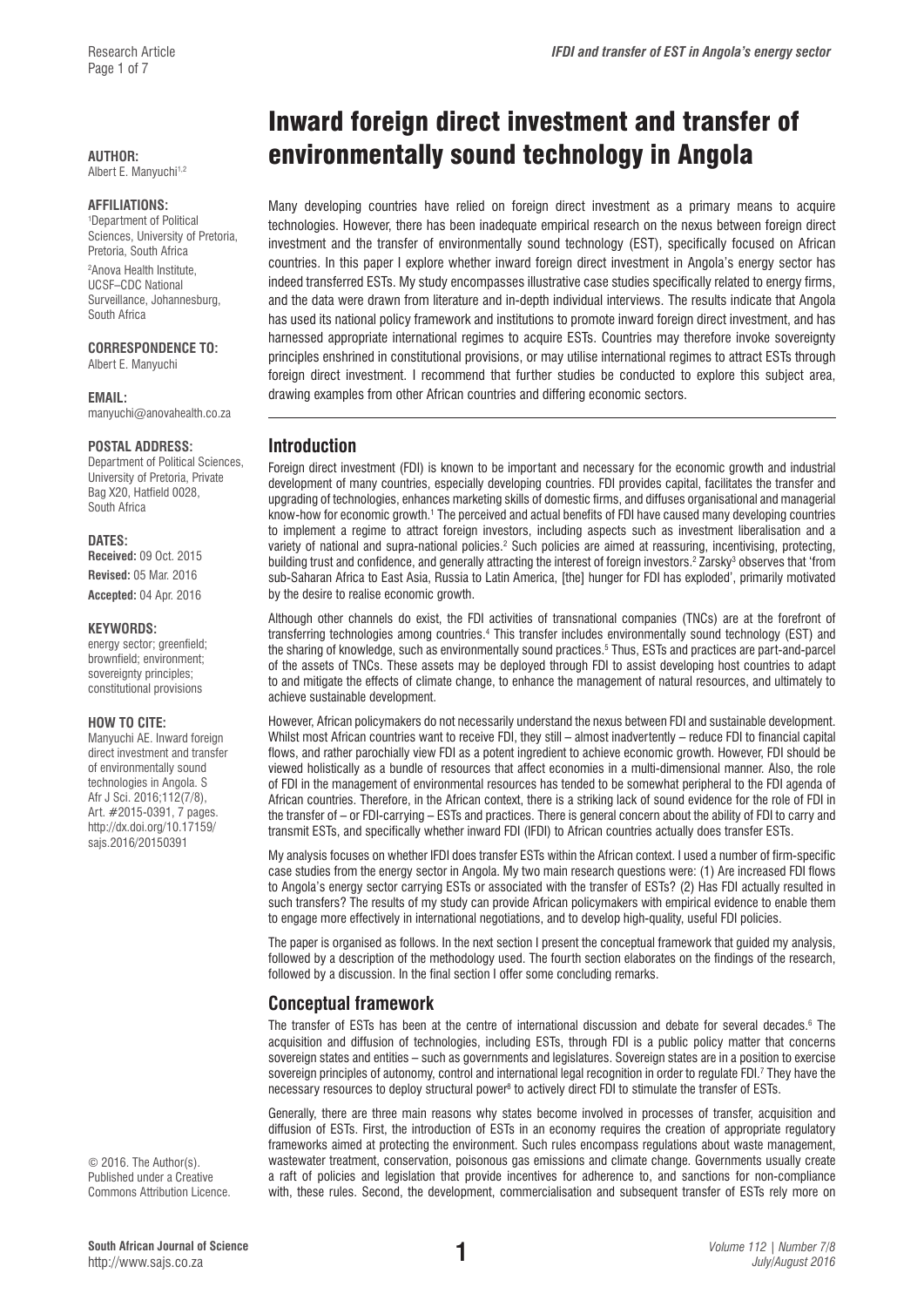# **AFFILIATIONS:**

1 Department of Political Sciences, University of Pretoria, Pretoria, South Africa

2 Anova Health Institute, UCSF–CDC National Surveillance, Johannesburg, South Africa

# **CORRESPONDENCE TO:**

Albert E. Manyuchi

**EMAIL:** 

[manyuchi@anovahealth.co.za](mailto:manyuchi@anovahealth.co.za)

# **POSTAL ADDRESS:**

Department of Political Sciences, University of Pretoria, Private Bag X20, Hatfield 0028, South Africa

### **DATES:**

**Received:** 09 Oct. 2015 **Revised:** 05 Mar. 2016 **Accepted:** 04 Apr. 2016

#### **KEYWORDS:**

energy sector; greenfield; brownfield; environment; sovereignty principles; constitutional provisions

### **HOW TO CITE:**

Manyuchi AE. Inward foreign direct investment and transfer of environmentally sound technologies in Angola. S Afr J Sci. 2016;112(7/8), Art. #2015-0391, 7 pages. [http://dx.doi.org/10.17159/](http://dx.doi.org/10.17159/sajs.2016/20150391) [sajs.2016/20150391](http://dx.doi.org/10.17159/sajs.2016/20150391)

© 2016. The Author(s). Published under a Creative Commons Attribution Licence.

# Inward foreign direct investment and transfer of AUTHOR: **AUTHOR: environmentally sound technology in Angola**

Many developing countries have relied on foreign direct investment as a primary means to acquire technologies. However, there has been inadequate empirical research on the nexus between foreign direct investment and the transfer of environmentally sound technology (EST), specifically focused on African countries. In this paper I explore whether inward foreign direct investment in Angola's energy sector has indeed transferred ESTs. My study encompasses illustrative case studies specifically related to energy firms, and the data were drawn from literature and in-depth individual interviews. The results indicate that Angola has used its national policy framework and institutions to promote inward foreign direct investment, and has harnessed appropriate international regimes to acquire ESTs. Countries may therefore invoke sovereignty principles enshrined in constitutional provisions, or may utilise international regimes to attract ESTs through foreign direct investment. I recommend that further studies be conducted to explore this subject area, drawing examples from other African countries and differing economic sectors.

# **Introduction**

Foreign direct investment (FDI) is known to be important and necessary for the economic growth and industrial development of many countries, especially developing countries. FDI provides capital, facilitates the transfer and upgrading of technologies, enhances marketing skills of domestic firms, and diffuses organisational and managerial know-how for economic growth.<sup>1</sup> The perceived and actual benefits of FDI have caused many developing countries to implement a regime to attract foreign investors, including aspects such as investment liberalisation and a variety of national and supra-national policies.<sup>2</sup> Such policies are aimed at reassuring, incentivising, protecting, building trust and confidence, and generally attracting the interest of foreign investors.<sup>2</sup> Zarsky<sup>3</sup> observes that 'from sub-Saharan Africa to East Asia, Russia to Latin America, [the] hunger for FDI has exploded', primarily motivated by the desire to realise economic growth.

Although other channels do exist, the FDI activities of transnational companies (TNCs) are at the forefront of transferring technologies among countries.<sup>4</sup> This transfer includes environmentally sound technology (EST) and the sharing of knowledge, such as environmentally sound practices.<sup>5</sup> Thus, ESTs and practices are part-and-parcel of the assets of TNCs. These assets may be deployed through FDI to assist developing host countries to adapt to and mitigate the effects of climate change, to enhance the management of natural resources, and ultimately to achieve sustainable development.

However, African policymakers do not necessarily understand the nexus between FDI and sustainable development. Whilst most African countries want to receive FDI, they still – almost inadvertently – reduce FDI to financial capital flows, and rather parochially view FDI as a potent ingredient to achieve economic growth. However, FDI should be viewed holistically as a bundle of resources that affect economies in a multi-dimensional manner. Also, the role of FDI in the management of environmental resources has tended to be somewhat peripheral to the FDI agenda of African countries. Therefore, in the African context, there is a striking lack of sound evidence for the role of FDI in the transfer of – or FDI-carrying – ESTs and practices. There is general concern about the ability of FDI to carry and transmit ESTs, and specifically whether inward FDI (IFDI) to African countries actually does transfer ESTs.

My analysis focuses on whether IFDI does transfer ESTs within the African context. I used a number of firm-specific case studies from the energy sector in Angola. My two main research questions were: (1) Are increased FDI flows to Angola's energy sector carrying ESTs or associated with the transfer of ESTs? (2) Has FDI actually resulted in such transfers? The results of my study can provide African policymakers with empirical evidence to enable them to engage more effectively in international negotiations, and to develop high-quality, useful FDI policies.

The paper is organised as follows. In the next section I present the conceptual framework that guided my analysis, followed by a description of the methodology used. The fourth section elaborates on the findings of the research, followed by a discussion. In the final section I offer some concluding remarks.

# **Conceptual framework**

The transfer of ESTs has been at the centre of international discussion and debate for several decades.6 The acquisition and diffusion of technologies, including ESTs, through FDI is a public policy matter that concerns sovereign states and entities – such as governments and legislatures. Sovereign states are in a position to exercise sovereign principles of autonomy, control and international legal recognition in order to regulate FDI.7 They have the necessary resources to deploy structural power<sup>8</sup> to actively direct FDI to stimulate the transfer of ESTs.

Generally, there are three main reasons why states become involved in processes of transfer, acquisition and diffusion of ESTs. First, the introduction of ESTs in an economy requires the creation of appropriate regulatory frameworks aimed at protecting the environment. Such rules encompass regulations about waste management, wastewater treatment, conservation, poisonous gas emissions and climate change. Governments usually create a raft of policies and legislation that provide incentives for adherence to, and sanctions for non-compliance with, these rules. Second, the development, commercialisation and subsequent transfer of ESTs rely more on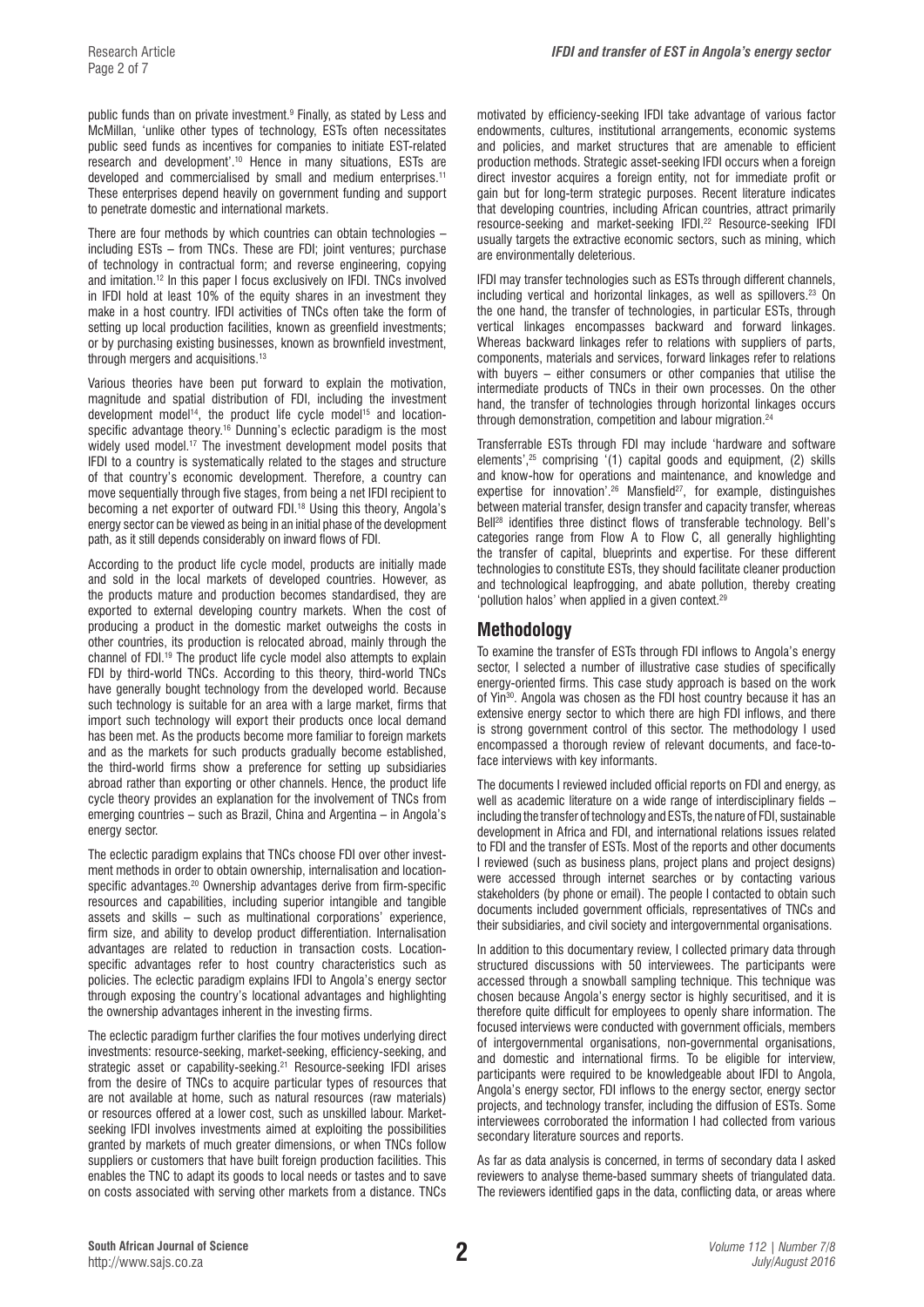public funds than on private investment.<sup>9</sup> Finally, as stated by Less and McMillan, 'unlike other types of technology, ESTs often necessitates public seed funds as incentives for companies to initiate EST-related research and development'.10 Hence in many situations, ESTs are developed and commercialised by small and medium enterprises.<sup>11</sup> These enterprises depend heavily on government funding and support to penetrate domestic and international markets.

There are four methods by which countries can obtain technologies – including ESTs – from TNCs. These are FDI; joint ventures; purchase of technology in contractual form; and reverse engineering, copying and imitation.12 In this paper I focus exclusively on IFDI. TNCs involved in IFDI hold at least 10% of the equity shares in an investment they make in a host country. IFDI activities of TNCs often take the form of setting up local production facilities, known as greenfield investments; or by purchasing existing businesses, known as brownfield investment, through mergers and acquisitions.<sup>13</sup>

Various theories have been put forward to explain the motivation, magnitude and spatial distribution of FDI, including the investment development model<sup>14</sup>, the product life cycle model<sup>15</sup> and locationspecific advantage theory.<sup>16</sup> Dunning's eclectic paradigm is the most widely used model.17 The investment development model posits that IFDI to a country is systematically related to the stages and structure of that country's economic development. Therefore, a country can move sequentially through five stages, from being a net IFDI recipient to becoming a net exporter of outward FDI.<sup>18</sup> Using this theory, Angola's energy sector can be viewed as being in an initial phase of the development path, as it still depends considerably on inward flows of FDI.

According to the product life cycle model, products are initially made and sold in the local markets of developed countries. However, as the products mature and production becomes standardised, they are exported to external developing country markets. When the cost of producing a product in the domestic market outweighs the costs in other countries, its production is relocated abroad, mainly through the channel of FDI.19 The product life cycle model also attempts to explain FDI by third-world TNCs. According to this theory, third-world TNCs have generally bought technology from the developed world. Because such technology is suitable for an area with a large market, firms that import such technology will export their products once local demand has been met. As the products become more familiar to foreign markets and as the markets for such products gradually become established, the third-world firms show a preference for setting up subsidiaries abroad rather than exporting or other channels. Hence, the product life cycle theory provides an explanation for the involvement of TNCs from emerging countries – such as Brazil, China and Argentina – in Angola's energy sector.

The eclectic paradigm explains that TNCs choose FDI over other investment methods in order to obtain ownership, internalisation and locationspecific advantages.<sup>20</sup> Ownership advantages derive from firm-specific resources and capabilities, including superior intangible and tangible assets and skills – such as multinational corporations' experience, firm size, and ability to develop product differentiation. Internalisation advantages are related to reduction in transaction costs. Locationspecific advantages refer to host country characteristics such as policies. The eclectic paradigm explains IFDI to Angola's energy sector through exposing the country's locational advantages and highlighting the ownership advantages inherent in the investing firms.

The eclectic paradigm further clarifies the four motives underlying direct investments: resource-seeking, market-seeking, efficiency-seeking, and strategic asset or capability-seeking.<sup>21</sup> Resource-seeking IFDI arises from the desire of TNCs to acquire particular types of resources that are not available at home, such as natural resources (raw materials) or resources offered at a lower cost, such as unskilled labour. Marketseeking IFDI involves investments aimed at exploiting the possibilities granted by markets of much greater dimensions, or when TNCs follow suppliers or customers that have built foreign production facilities. This enables the TNC to adapt its goods to local needs or tastes and to save on costs associated with serving other markets from a distance. TNCs motivated by efficiency-seeking IFDI take advantage of various factor endowments, cultures, institutional arrangements, economic systems and policies, and market structures that are amenable to efficient production methods. Strategic asset-seeking IFDI occurs when a foreign direct investor acquires a foreign entity, not for immediate profit or gain but for long-term strategic purposes. Recent literature indicates that developing countries, including African countries, attract primarily resource-seeking and market-seeking IFDI.22 Resource-seeking IFDI usually targets the extractive economic sectors, such as mining, which are environmentally deleterious.

IFDI may transfer technologies such as ESTs through different channels, including vertical and horizontal linkages, as well as spillovers.<sup>23</sup> On the one hand, the transfer of technologies, in particular ESTs, through vertical linkages encompasses backward and forward linkages. Whereas backward linkages refer to relations with suppliers of parts, components, materials and services, forward linkages refer to relations with buyers – either consumers or other companies that utilise the intermediate products of TNCs in their own processes. On the other hand, the transfer of technologies through horizontal linkages occurs through demonstration, competition and labour migration.24

Transferrable ESTs through FDI may include 'hardware and software elements', $25$  comprising '(1) capital goods and equipment, (2) skills and know-how for operations and maintenance, and knowledge and expertise for innovation'.<sup>26</sup> Mansfield<sup>27</sup>, for example, distinguishes between material transfer, design transfer and capacity transfer, whereas Bell<sup>28</sup> identifies three distinct flows of transferable technology. Bell's categories range from Flow A to Flow C, all generally highlighting the transfer of capital, blueprints and expertise. For these different technologies to constitute ESTs, they should facilitate cleaner production and technological leapfrogging, and abate pollution, thereby creating 'pollution halos' when applied in a given context.<sup>29</sup>

# **Methodology**

To examine the transfer of ESTs through FDI inflows to Angola's energy sector, I selected a number of illustrative case studies of specifically energy-oriented firms. This case study approach is based on the work of Yin30. Angola was chosen as the FDI host country because it has an extensive energy sector to which there are high FDI inflows, and there is strong government control of this sector. The methodology I used encompassed a thorough review of relevant documents, and face-toface interviews with key informants.

The documents I reviewed included official reports on FDI and energy, as well as academic literature on a wide range of interdisciplinary fields – including the transfer of technology and ESTs, the nature of FDI, sustainable development in Africa and FDI, and international relations issues related to FDI and the transfer of ESTs. Most of the reports and other documents I reviewed (such as business plans, project plans and project designs) were accessed through internet searches or by contacting various stakeholders (by phone or email). The people I contacted to obtain such documents included government officials, representatives of TNCs and their subsidiaries, and civil society and intergovernmental organisations.

In addition to this documentary review, I collected primary data through structured discussions with 50 interviewees. The participants were accessed through a snowball sampling technique. This technique was chosen because Angola's energy sector is highly securitised, and it is therefore quite difficult for employees to openly share information. The focused interviews were conducted with government officials, members of intergovernmental organisations, non-governmental organisations, and domestic and international firms. To be eligible for interview, participants were required to be knowledgeable about IFDI to Angola, Angola's energy sector, FDI inflows to the energy sector, energy sector projects, and technology transfer, including the diffusion of ESTs. Some interviewees corroborated the information I had collected from various secondary literature sources and reports.

As far as data analysis is concerned, in terms of secondary data I asked reviewers to analyse theme-based summary sheets of triangulated data. The reviewers identified gaps in the data, conflicting data, or areas where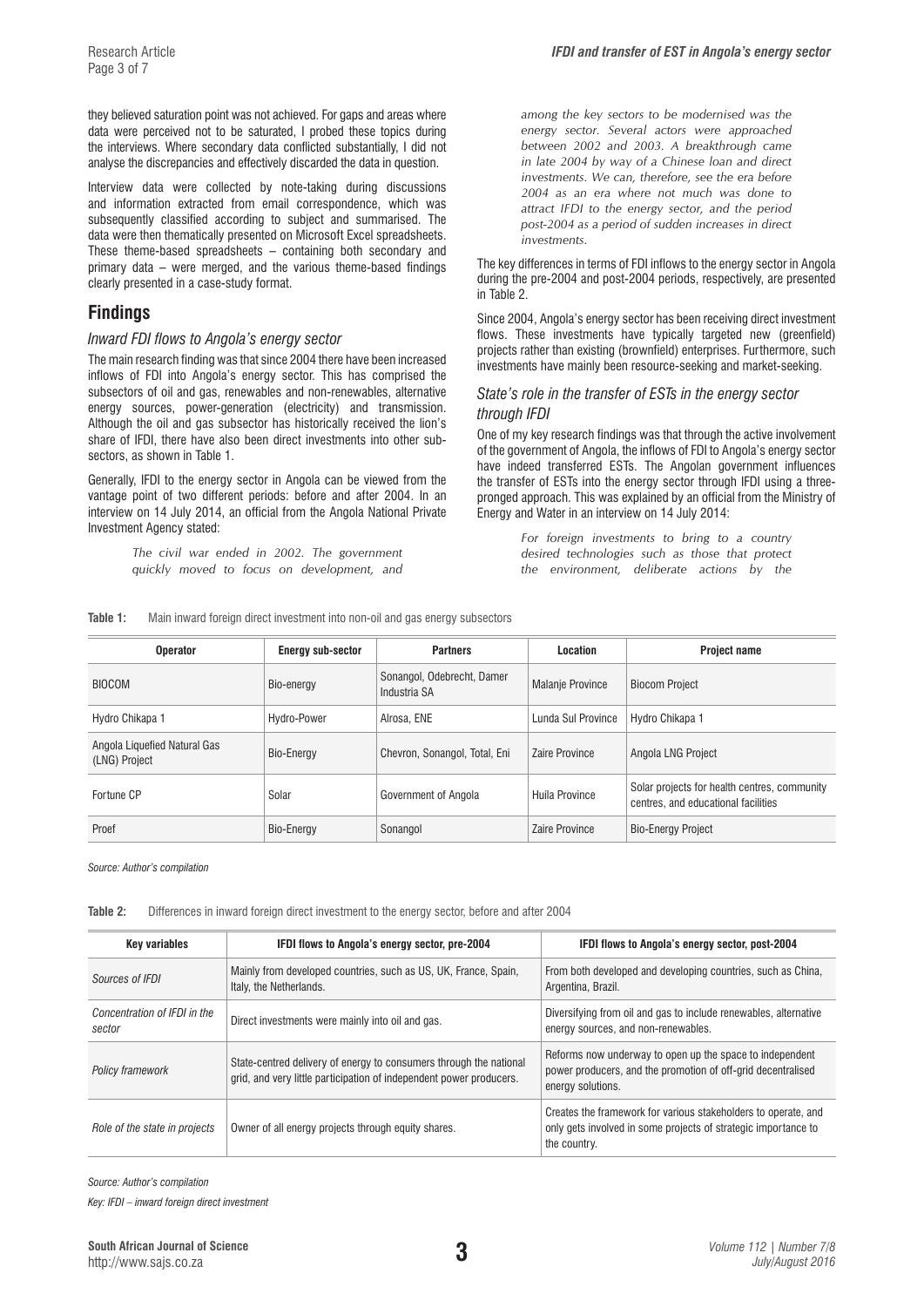they believed saturation point was not achieved. For gaps and areas where data were perceived not to be saturated, I probed these topics during the interviews. Where secondary data conflicted substantially, I did not analyse the discrepancies and effectively discarded the data in question.

Interview data were collected by note-taking during discussions and information extracted from email correspondence, which was subsequently classified according to subject and summarised. The data were then thematically presented on Microsoft Excel spreadsheets. These theme-based spreadsheets – containing both secondary and primary data – were merged, and the various theme-based findings clearly presented in a case-study format.

# **Findings**

### *Inward FDI flows to Angola's energy sector*

The main research finding was that since 2004 there have been increased inflows of FDI into Angola's energy sector. This has comprised the subsectors of oil and gas, renewables and non-renewables, alternative energy sources, power-generation (electricity) and transmission. Although the oil and gas subsector has historically received the lion's share of IFDI, there have also been direct investments into other subsectors, as shown in Table 1.

Generally, IFDI to the energy sector in Angola can be viewed from the vantage point of two different periods: before and after 2004. In an interview on 14 July 2014, an official from the Angola National Private Investment Agency stated:

> *The civil war ended in 2002. The government quickly moved to focus on development, and*

*among the key sectors to be modernised was the energy sector. Several actors were approached between 2002 and 2003. A breakthrough came in late 2004 by way of a Chinese loan and direct investments. We can, therefore, see the era before 2004 as an era where not much was done to attract IFDI to the energy sector, and the period post-2004 as a period of sudden increases in direct investments.*

The key differences in terms of FDI inflows to the energy sector in Angola during the pre-2004 and post-2004 periods, respectively, are presented in Table 2.

Since 2004, Angola's energy sector has been receiving direct investment flows. These investments have typically targeted new (greenfield) projects rather than existing (brownfield) enterprises. Furthermore, such investments have mainly been resource-seeking and market-seeking.

# *State's role in the transfer of ESTs in the energy sector through IFDI*

One of my key research findings was that through the active involvement of the government of Angola, the inflows of FDI to Angola's energy sector have indeed transferred ESTs. The Angolan government influences the transfer of ESTs into the energy sector through IFDI using a threepronged approach. This was explained by an official from the Ministry of Energy and Water in an interview on 14 July 2014:

> *For foreign investments to bring to a country desired technologies such as those that protect the environment, deliberate actions by the*

| Table 1: | Main inward foreign direct investment into non-oil and gas energy subsectors |
|----------|------------------------------------------------------------------------------|
|----------|------------------------------------------------------------------------------|

| <b>Operator</b>                               | <b>Energy sub-sector</b> | <b>Partners</b>                            | Location                | <b>Project name</b>                                                                 |
|-----------------------------------------------|--------------------------|--------------------------------------------|-------------------------|-------------------------------------------------------------------------------------|
| <b>BIOCOM</b>                                 | Bio-energy               | Sonangol, Odebrecht, Damer<br>Industria SA | <b>Malanje Province</b> | <b>Biocom Project</b>                                                               |
| Hydro Chikapa 1                               | Hydro-Power              | Alrosa, ENE                                | Lunda Sul Province      | Hydro Chikapa 1                                                                     |
| Angola Liquefied Natural Gas<br>(LNG) Project | Bio-Energy               | Chevron, Sonangol, Total, Eni              | Zaire Province          | Angola LNG Project                                                                  |
| Fortune CP                                    | Solar                    | Government of Angola                       | Huíla Province          | Solar projects for health centres, community<br>centres, and educational facilities |
| Proef                                         | Bio-Energy               | Sonangol                                   | Zaire Province          | <b>Bio-Energy Project</b>                                                           |

*Source: Author's compilation*

**Table 2:** Differences in inward foreign direct investment to the energy sector, before and after 2004

| <b>Key variables</b>                   | IFDI flows to Angola's energy sector, pre-2004                                                                                            | IFDI flows to Angola's energy sector, post-2004                                                                                                  |
|----------------------------------------|-------------------------------------------------------------------------------------------------------------------------------------------|--------------------------------------------------------------------------------------------------------------------------------------------------|
| Sources of <b>IFDI</b>                 | Mainly from developed countries, such as US, UK, France, Spain,<br>Italy, the Netherlands.                                                | From both developed and developing countries, such as China,<br>Argentina, Brazil.                                                               |
| Concentration of IFDI in the<br>sector | Direct investments were mainly into oil and gas.                                                                                          | Diversifying from oil and gas to include renewables, alternative<br>energy sources, and non-renewables.                                          |
| Policy framework                       | State-centred delivery of energy to consumers through the national<br>grid, and very little participation of independent power producers. | Reforms now underway to open up the space to independent<br>power producers, and the promotion of off-grid decentralised<br>energy solutions.    |
| Role of the state in projects          | Owner of all energy projects through equity shares.                                                                                       | Creates the framework for various stakeholders to operate, and<br>only gets involved in some projects of strategic importance to<br>the country. |

*Source: Author's compilation*

*Key: IFDI – inward foreign direct investment*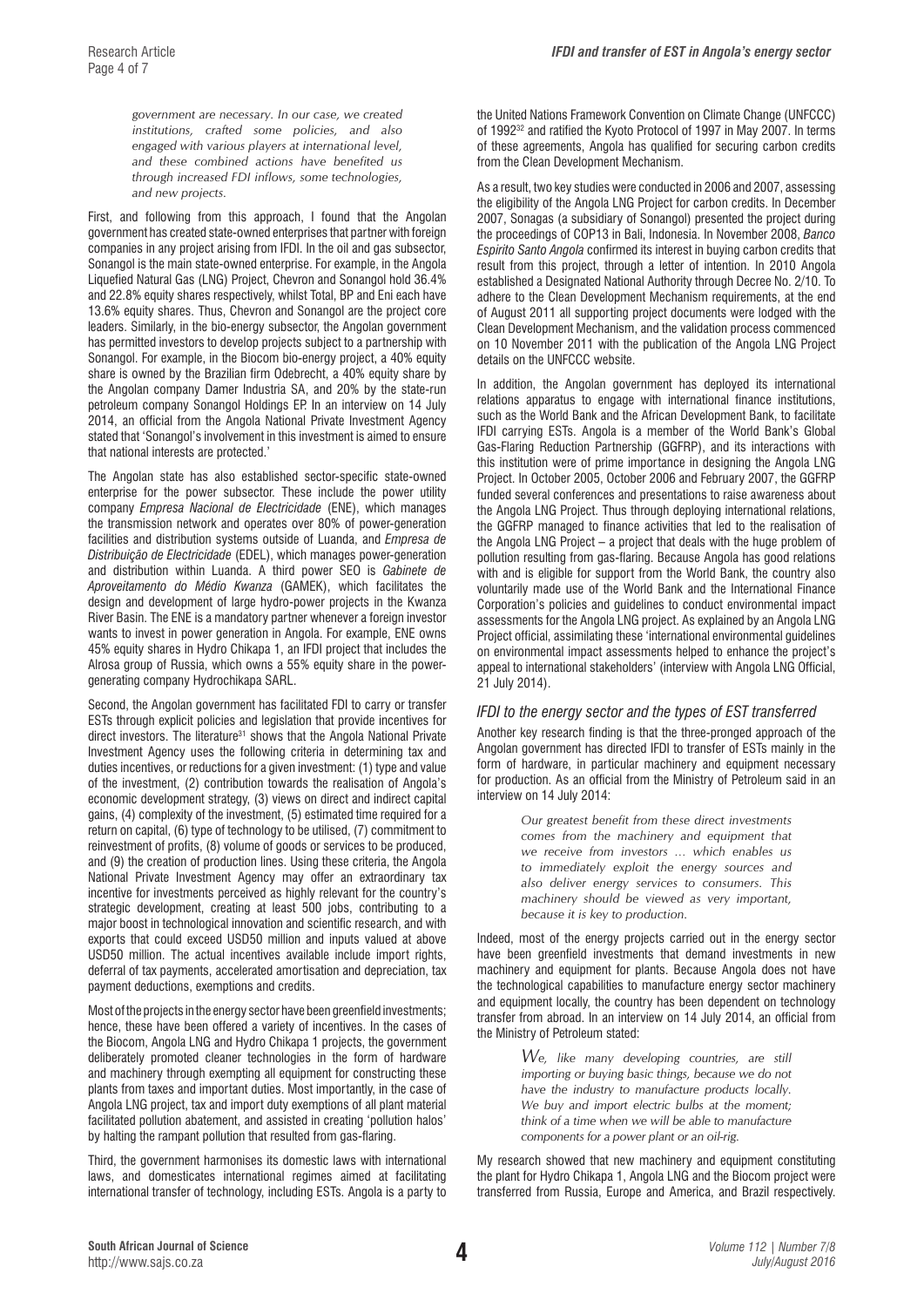*government are necessary. In our case, we created institutions, crafted some policies, and also engaged with various players at international level, and these combined actions have benefited us through increased FDI inflows, some technologies, and new projects.*

First, and following from this approach, I found that the Angolan government has created state-owned enterprises that partner with foreign companies in any project arising from IFDI. In the oil and gas subsector, Sonangol is the main state-owned enterprise. For example, in the Angola Liquefied Natural Gas (LNG) Project, Chevron and Sonangol hold 36.4% and 22.8% equity shares respectively, whilst Total, BP and Eni each have 13.6% equity shares. Thus, Chevron and Sonangol are the project core leaders. Similarly, in the bio-energy subsector, the Angolan government has permitted investors to develop projects subject to a partnership with Sonangol. For example, in the Biocom bio-energy project, a 40% equity share is owned by the Brazilian firm Odebrecht, a 40% equity share by the Angolan company Damer Industria SA, and 20% by the state-run petroleum company Sonangol Holdings EP. In an interview on 14 July 2014, an official from the Angola National Private Investment Agency stated that 'Sonangol's involvement in this investment is aimed to ensure that national interests are protected.'

The Angolan state has also established sector-specific state-owned enterprise for the power subsector. These include the power utility company *Empresa Nacional de Electricidade* (ENE), which manages the transmission network and operates over 80% of power-generation facilities and distribution systems outside of Luanda, and *Empresa de Distribuição de Electricidade* (EDEL), which manages power-generation and distribution within Luanda. A third power SEO is *Gabinete de Aproveitamento do Médio Kwanza* (GAMEK), which facilitates the design and development of large hydro-power projects in the Kwanza River Basin. The ENE is a mandatory partner whenever a foreign investor wants to invest in power generation in Angola. For example, ENE owns 45% equity shares in Hydro Chikapa 1, an IFDI project that includes the Alrosa group of Russia, which owns a 55% equity share in the powergenerating company Hydrochikapa SARL.

Second, the Angolan government has facilitated FDI to carry or transfer ESTs through explicit policies and legislation that provide incentives for direct investors. The literature<sup>31</sup> shows that the Angola National Private Investment Agency uses the following criteria in determining tax and duties incentives, or reductions for a given investment: (1) type and value of the investment, (2) contribution towards the realisation of Angola's economic development strategy, (3) views on direct and indirect capital gains, (4) complexity of the investment, (5) estimated time required for a return on capital, (6) type of technology to be utilised, (7) commitment to reinvestment of profits, (8) volume of goods or services to be produced, and (9) the creation of production lines. Using these criteria, the Angola National Private Investment Agency may offer an extraordinary tax incentive for investments perceived as highly relevant for the country's strategic development, creating at least 500 jobs, contributing to a major boost in technological innovation and scientific research, and with exports that could exceed USD50 million and inputs valued at above USD50 million. The actual incentives available include import rights, deferral of tax payments, accelerated amortisation and depreciation, tax payment deductions, exemptions and credits.

Most of the projects in the energy sector have been greenfield investments; hence, these have been offered a variety of incentives. In the cases of the Biocom, Angola LNG and Hydro Chikapa 1 projects, the government deliberately promoted cleaner technologies in the form of hardware and machinery through exempting all equipment for constructing these plants from taxes and important duties. Most importantly, in the case of Angola LNG project, tax and import duty exemptions of all plant material facilitated pollution abatement, and assisted in creating 'pollution halos' by halting the rampant pollution that resulted from gas-flaring.

Third, the government harmonises its domestic laws with international laws, and domesticates international regimes aimed at facilitating international transfer of technology, including ESTs. Angola is a party to the United Nations Framework Convention on Climate Change (UNFCCC) of 199232 and ratified the Kyoto Protocol of 1997 in May 2007. In terms of these agreements, Angola has qualified for securing carbon credits from the Clean Development Mechanism.

As a result, two key studies were conducted in 2006 and 2007, assessing the eligibility of the Angola LNG Project for carbon credits. In December 2007, Sonagas (a subsidiary of Sonangol) presented the project during the proceedings of COP13 in Bali, Indonesia. In November 2008, *Banco Espirito Santo Angola* confirmed its interest in buying carbon credits that result from this project, through a letter of intention. In 2010 Angola established a Designated National Authority through Decree No. 2/10. To adhere to the Clean Development Mechanism requirements, at the end of August 2011 all supporting project documents were lodged with the Clean Development Mechanism, and the validation process commenced on 10 November 2011 with the publication of the Angola LNG Project details on the UNFCCC website.

In addition, the Angolan government has deployed its international relations apparatus to engage with international finance institutions, such as the World Bank and the African Development Bank, to facilitate IFDI carrying ESTs. Angola is a member of the World Bank's Global Gas-Flaring Reduction Partnership (GGFRP), and its interactions with this institution were of prime importance in designing the Angola LNG Project. In October 2005, October 2006 and February 2007, the GGFRP funded several conferences and presentations to raise awareness about the Angola LNG Project. Thus through deploying international relations, the GGFRP managed to finance activities that led to the realisation of the Angola LNG Project – a project that deals with the huge problem of pollution resulting from gas-flaring. Because Angola has good relations with and is eligible for support from the World Bank, the country also voluntarily made use of the World Bank and the International Finance Corporation's policies and guidelines to conduct environmental impact assessments for the Angola LNG project. As explained by an Angola LNG Project official, assimilating these 'international environmental guidelines on environmental impact assessments helped to enhance the project's appeal to international stakeholders' (interview with Angola LNG Official, 21 July 2014).

### *IFDI to the energy sector and the types of EST transferred*

Another key research finding is that the three-pronged approach of the Angolan government has directed IFDI to transfer of ESTs mainly in the form of hardware, in particular machinery and equipment necessary for production. As an official from the Ministry of Petroleum said in an interview on 14 July 2014:

> *Our greatest benefit from these direct investments comes from the machinery and equipment that we receive from investors … which enables us to immediately exploit the energy sources and also deliver energy services to consumers. This machinery should be viewed as very important, because it is key to production.*

Indeed, most of the energy projects carried out in the energy sector have been greenfield investments that demand investments in new machinery and equipment for plants. Because Angola does not have the technological capabilities to manufacture energy sector machinery and equipment locally, the country has been dependent on technology transfer from abroad. In an interview on 14 July 2014, an official from the Ministry of Petroleum stated:

> *We, like many developing countries, are still importing or buying basic things, because we do not have the industry to manufacture products locally. We buy and import electric bulbs at the moment; think of a time when we will be able to manufacture components for a power plant or an oil-rig.*

My research showed that new machinery and equipment constituting the plant for Hydro Chikapa 1, Angola LNG and the Biocom project were transferred from Russia, Europe and America, and Brazil respectively.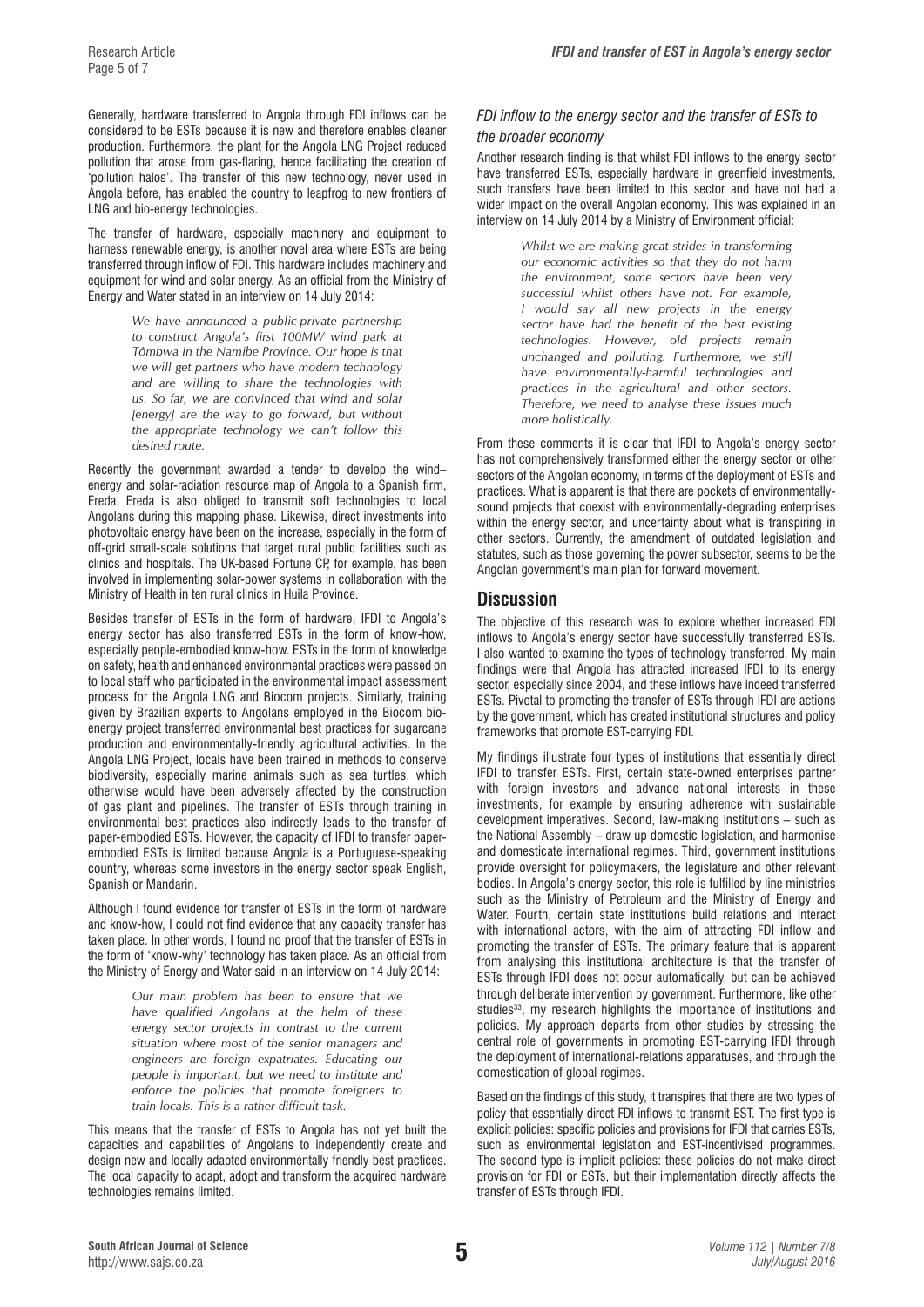Generally, hardware transferred to Angola through FDI inflows can be considered to be ESTs because it is new and therefore enables cleaner production. Furthermore, the plant for the Angola LNG Project reduced pollution that arose from gas-flaring, hence facilitating the creation of 'pollution halos'. The transfer of this new technology, never used in Angola before, has enabled the country to leapfrog to new frontiers of LNG and bio-energy technologies.

The transfer of hardware, especially machinery and equipment to harness renewable energy, is another novel area where ESTs are being transferred through inflow of FDI. This hardware includes machinery and equipment for wind and solar energy. As an official from the Ministry of Energy and Water stated in an interview on 14 July 2014:

> *We have announced a public-private partnership to construct Angola's first 100MW wind park at Tômbwa in the Namibe Province. Our hope is that we will get partners who have modern technology and are willing to share the technologies with us. So far, we are convinced that wind and solar [energy] are the way to go forward, but without the appropriate technology we can't follow this desired route.*

Recently the government awarded a tender to develop the wind– energy and solar-radiation resource map of Angola to a Spanish firm, Ereda. Ereda is also obliged to transmit soft technologies to local Angolans during this mapping phase. Likewise, direct investments into photovoltaic energy have been on the increase, especially in the form of off-grid small-scale solutions that target rural public facilities such as clinics and hospitals. The UK-based Fortune CP, for example, has been involved in implementing solar-power systems in collaboration with the Ministry of Health in ten rural clinics in Huila Province.

Besides transfer of ESTs in the form of hardware, IFDI to Angola's energy sector has also transferred ESTs in the form of know-how, especially people-embodied know-how. ESTs in the form of knowledge on safety, health and enhanced environmental practices were passed on to local staff who participated in the environmental impact assessment process for the Angola LNG and Biocom projects. Similarly, training given by Brazilian experts to Angolans employed in the Biocom bioenergy project transferred environmental best practices for sugarcane production and environmentally-friendly agricultural activities. In the Angola LNG Project, locals have been trained in methods to conserve biodiversity, especially marine animals such as sea turtles, which otherwise would have been adversely affected by the construction of gas plant and pipelines. The transfer of ESTs through training in environmental best practices also indirectly leads to the transfer of paper-embodied ESTs. However, the capacity of IFDI to transfer paperembodied ESTs is limited because Angola is a Portuguese-speaking country, whereas some investors in the energy sector speak English, Spanish or Mandarin.

Although I found evidence for transfer of ESTs in the form of hardware and know-how, I could not find evidence that any capacity transfer has taken place. In other words, I found no proof that the transfer of ESTs in the form of 'know-why' technology has taken place. As an official from the Ministry of Energy and Water said in an interview on 14 July 2014:

> *Our main problem has been to ensure that we have qualified Angolans at the helm of these energy sector projects in contrast to the current situation where most of the senior managers and engineers are foreign expatriates. Educating our people is important, but we need to institute and enforce the policies that promote foreigners to train locals. This is a rather difficult task.*

This means that the transfer of ESTs to Angola has not yet built the capacities and capabilities of Angolans to independently create and design new and locally adapted environmentally friendly best practices. The local capacity to adapt, adopt and transform the acquired hardware technologies remains limited.

# *FDI inflow to the energy sector and the transfer of ESTs to the broader economy*

Another research finding is that whilst FDI inflows to the energy sector have transferred ESTs, especially hardware in greenfield investments, such transfers have been limited to this sector and have not had a wider impact on the overall Angolan economy. This was explained in an interview on 14 July 2014 by a Ministry of Environment official:

> *Whilst we are making great strides in transforming our economic activities so that they do not harm the environment, some sectors have been very successful whilst others have not. For example, I would say all new projects in the energy sector have had the benefit of the best existing technologies. However, old projects remain unchanged and polluting. Furthermore, we still have environmentally-harmful technologies and practices in the agricultural and other sectors. Therefore, we need to analyse these issues much more holistically.*

From these comments it is clear that IFDI to Angola's energy sector has not comprehensively transformed either the energy sector or other sectors of the Angolan economy, in terms of the deployment of ESTs and practices. What is apparent is that there are pockets of environmentallysound projects that coexist with environmentally-degrading enterprises within the energy sector, and uncertainty about what is transpiring in other sectors. Currently, the amendment of outdated legislation and statutes, such as those governing the power subsector, seems to be the Angolan government's main plan for forward movement.

# **Discussion**

The objective of this research was to explore whether increased FDI inflows to Angola's energy sector have successfully transferred ESTs. I also wanted to examine the types of technology transferred. My main findings were that Angola has attracted increased IFDI to its energy sector, especially since 2004, and these inflows have indeed transferred ESTs. Pivotal to promoting the transfer of ESTs through IFDI are actions by the government, which has created institutional structures and policy frameworks that promote EST-carrying FDI.

My findings illustrate four types of institutions that essentially direct IFDI to transfer ESTs. First, certain state-owned enterprises partner with foreign investors and advance national interests in these investments, for example by ensuring adherence with sustainable development imperatives. Second, law-making institutions – such as the National Assembly – draw up domestic legislation, and harmonise and domesticate international regimes. Third, government institutions provide oversight for policymakers, the legislature and other relevant bodies. In Angola's energy sector, this role is fulfilled by line ministries such as the Ministry of Petroleum and the Ministry of Energy and Water. Fourth, certain state institutions build relations and interact with international actors, with the aim of attracting FDI inflow and promoting the transfer of ESTs. The primary feature that is apparent from analysing this institutional architecture is that the transfer of ESTs through IFDI does not occur automatically, but can be achieved through deliberate intervention by government. Furthermore, like other studies<sup>33</sup>, my research highlights the importance of institutions and policies. My approach departs from other studies by stressing the central role of governments in promoting EST-carrying IFDI through the deployment of international-relations apparatuses, and through the domestication of global regimes.

Based on the findings of this study, it transpires that there are two types of policy that essentially direct FDI inflows to transmit EST. The first type is explicit policies: specific policies and provisions for IFDI that carries ESTs, such as environmental legislation and EST-incentivised programmes. The second type is implicit policies: these policies do not make direct provision for FDI or ESTs, but their implementation directly affects the transfer of ESTs through IFDI.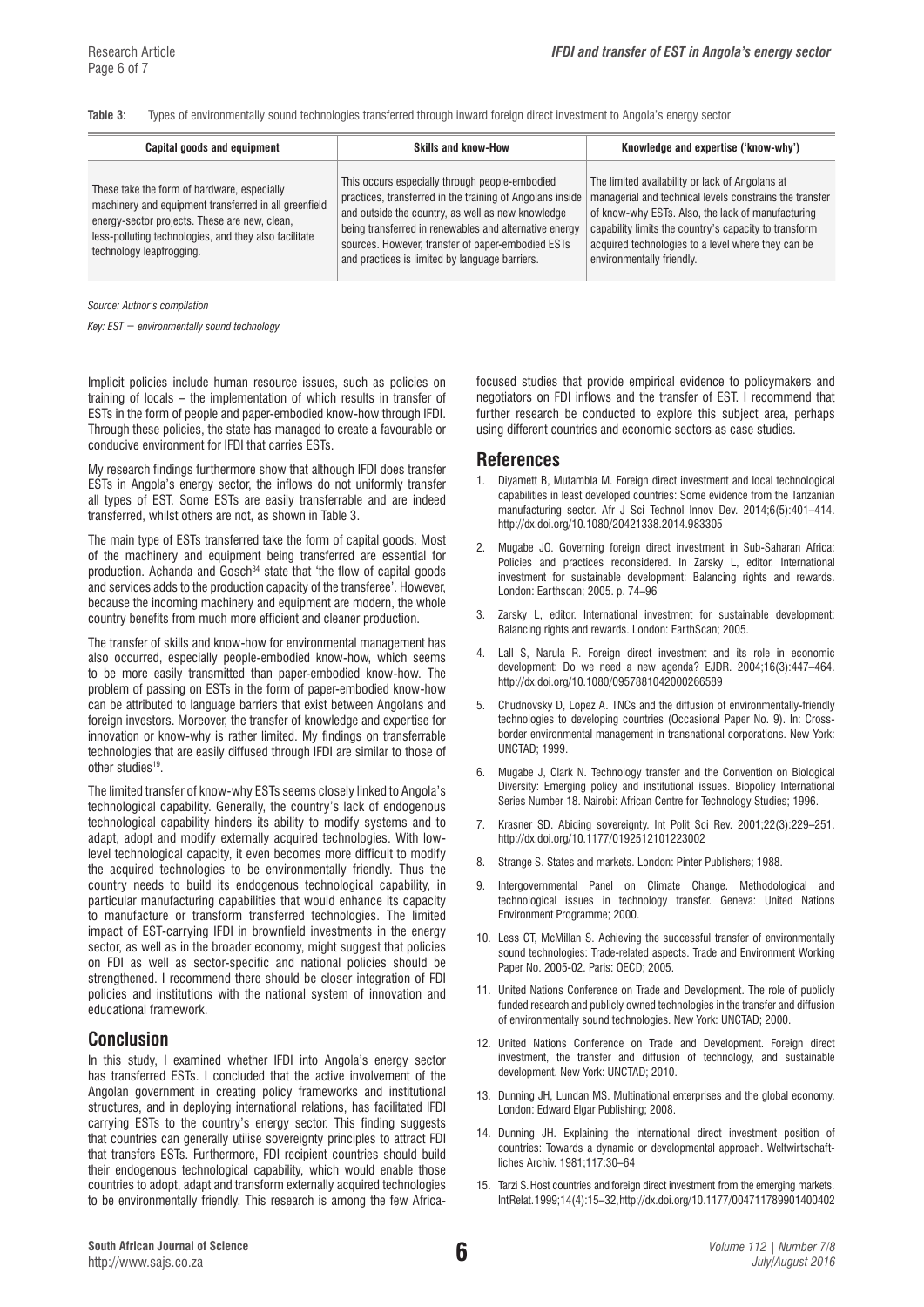**Table 3:** Types of environmentally sound technologies transferred through inward foreign direct investment to Angola's energy sector

| <b>Capital goods and equipment</b>                                                                                                                                                                                                         | <b>Skills and know-How</b>                                                                                                                                                                                                                                                                                                        | Knowledge and expertise ('know-why')                                                                                                                                                                                                                                                                        |
|--------------------------------------------------------------------------------------------------------------------------------------------------------------------------------------------------------------------------------------------|-----------------------------------------------------------------------------------------------------------------------------------------------------------------------------------------------------------------------------------------------------------------------------------------------------------------------------------|-------------------------------------------------------------------------------------------------------------------------------------------------------------------------------------------------------------------------------------------------------------------------------------------------------------|
| These take the form of hardware, especially<br>machinery and equipment transferred in all greenfield<br>energy-sector projects. These are new, clean,<br>less-polluting technologies, and they also facilitate<br>technology leapfrogging. | This occurs especially through people-embodied<br>practices, transferred in the training of Angolans inside<br>and outside the country, as well as new knowledge<br>being transferred in renewables and alternative energy<br>sources. However, transfer of paper-embodied ESTs<br>and practices is limited by language barriers. | The limited availability or lack of Angolans at<br>managerial and technical levels constrains the transfer<br>of know-why ESTs. Also, the lack of manufacturing<br>capability limits the country's capacity to transform<br>acquired technologies to a level where they can be<br>environmentally friendly. |

*Source: Author's compilation*

*Key: EST = environmentally sound technology*

Implicit policies include human resource issues, such as policies on training of locals – the implementation of which results in transfer of ESTs in the form of people and paper-embodied know-how through IFDI. Through these policies, the state has managed to create a favourable or conducive environment for IFDI that carries ESTs.

My research findings furthermore show that although IFDI does transfer ESTs in Angola's energy sector, the inflows do not uniformly transfer all types of EST. Some ESTs are easily transferrable and are indeed transferred, whilst others are not, as shown in Table 3.

The main type of ESTs transferred take the form of capital goods. Most of the machinery and equipment being transferred are essential for production. Achanda and Gosch<sup>34</sup> state that 'the flow of capital goods and services adds to the production capacity of the transferee'. However, because the incoming machinery and equipment are modern, the whole country benefits from much more efficient and cleaner production.

The transfer of skills and know-how for environmental management has also occurred, especially people-embodied know-how, which seems to be more easily transmitted than paper-embodied know-how. The problem of passing on ESTs in the form of paper-embodied know-how can be attributed to language barriers that exist between Angolans and foreign investors. Moreover, the transfer of knowledge and expertise for innovation or know-why is rather limited. My findings on transferrable technologies that are easily diffused through IFDI are similar to those of other studies<sup>19</sup>.

The limited transfer of know-why ESTs seems closely linked to Angola's technological capability. Generally, the country's lack of endogenous technological capability hinders its ability to modify systems and to adapt, adopt and modify externally acquired technologies. With lowlevel technological capacity, it even becomes more difficult to modify the acquired technologies to be environmentally friendly. Thus the country needs to build its endogenous technological capability, in particular manufacturing capabilities that would enhance its capacity to manufacture or transform transferred technologies. The limited impact of EST-carrying IFDI in brownfield investments in the energy sector, as well as in the broader economy, might suggest that policies on FDI as well as sector-specific and national policies should be strengthened. I recommend there should be closer integration of FDI policies and institutions with the national system of innovation and educational framework.

# **Conclusion**

In this study, I examined whether IFDI into Angola's energy sector has transferred ESTs. I concluded that the active involvement of the Angolan government in creating policy frameworks and institutional structures, and in deploying international relations, has facilitated IFDI carrying ESTs to the country's energy sector. This finding suggests that countries can generally utilise sovereignty principles to attract FDI that transfers ESTs. Furthermore, FDI recipient countries should build their endogenous technological capability, which would enable those countries to adopt, adapt and transform externally acquired technologies to be environmentally friendly. This research is among the few Africafocused studies that provide empirical evidence to policymakers and negotiators on FDI inflows and the transfer of EST. I recommend that further research be conducted to explore this subject area, perhaps using different countries and economic sectors as case studies.

#### **References**

- 1. Diyamett B, Mutambla M. Foreign direct investment and local technological capabilities in least developed countries: Some evidence from the Tanzanian manufacturing sector. Afr J Sci Technol Innov Dev. 2014;6(5):401–414. <http://dx.doi.org/10.1080/20421338.2014.983305>
- 2. Mugabe JO. Governing foreign direct investment in Sub-Saharan Africa: Policies and practices reconsidered. In Zarsky L, editor. International investment for sustainable development: Balancing rights and rewards. London: Earthscan; 2005. p. 74–96
- 3. Zarsky L, editor. International investment for sustainable development: Balancing rights and rewards. London: EarthScan; 2005.
- 4. Lall S, Narula R. Foreign direct investment and its role in economic development: Do we need a new agenda? EJDR. 2004;16(3):447–464. <http://dx.doi.org/10.1080/0957881042000266589>
- 5. Chudnovsky D, Lopez A. TNCs and the diffusion of environmentally-friendly technologies to developing countries (Occasional Paper No. 9). In: Crossborder environmental management in transnational corporations. New York: UNCTAD; 1999.
- 6. Mugabe J, Clark N. Technology transfer and the Convention on Biological Diversity: Emerging policy and institutional issues. Biopolicy International Series Number 18. Nairobi: African Centre for Technology Studies; 1996.
- 7. Krasner SD. Abiding sovereignty. Int Polit Sci Rev. 2001;22(3):229–251. <http://dx.doi.org/10.1177/0192512101223002>
- 8. Strange S. States and markets. London: Pinter Publishers; 1988.
- 9. Intergovernmental Panel on Climate Change. Methodological and technological issues in technology transfer. Geneva: United Nations Environment Programme; 2000.
- 10. Less CT, McMillan S. Achieving the successful transfer of environmentally sound technologies: Trade-related aspects. Trade and Environment Working Paper No. 2005-02. Paris: OECD; 2005.
- 11. United Nations Conference on Trade and Development. The role of publicly funded research and publicly owned technologies in the transfer and diffusion of environmentally sound technologies. New York: UNCTAD; 2000.
- 12. United Nations Conference on Trade and Development. Foreign direct investment, the transfer and diffusion of technology, and sustainable development. New York: UNCTAD; 2010.
- 13. Dunning JH, Lundan MS. Multinational enterprises and the global economy. London: Edward Elgar Publishing; 2008.
- 14. Dunning JH. Explaining the international direct investment position of countries: Towards a dynamic or developmental approach. Weltwirtschaftliches Archiv. 1981;117:30–64
- 15. Tarzi S. Host countries and foreign direct investment from the emerging markets. Int Relat. 1999;14(4):15–32,<http://dx.doi.org/10.1177/004711789901400402>